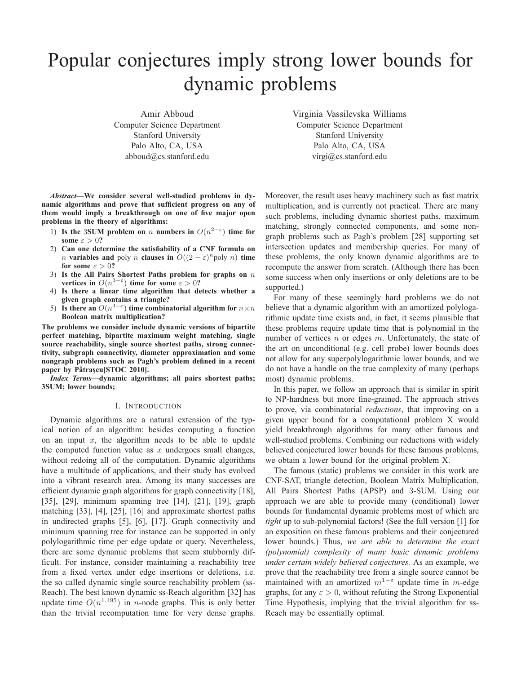# Popular conjectures imply strong lower bounds for dynamic problems

Amir Abboud Computer Science Department Stanford University Palo Alto, CA, USA abboud@cs.stanford.edu

Virginia Vassilevska Williams Computer Science Department Stanford University Palo Alto, CA, USA virgi@cs.stanford.edu

*Abstract***—We consider several well-studied problems in dynamic algorithms and prove that sufficient progress on any of them would imply a breakthrough on one of five major open problems in the theory of algorithms:**

- 1) **Is the 3SUM problem on** *n* **numbers in**  $O(n^{2-\epsilon})$  **time for some**  $\varepsilon > 0$ ?
- 2) **Can one determine the satisfiability of a CNF formula on** *n* **variables and** poly *n* **clauses in**  $O((2 - \varepsilon)^n)$  poly *n*) **time for some**  $\varepsilon > 0$ ?
- 3) Is the All Pairs Shortest Paths problem for graphs on *n* vertices in  $O(n^{3-\epsilon})$  time for some  $\varepsilon > 0$ ?
- 4) **Is there a linear time algorithm that detects whether a given graph contains a triangle?**
- 5) **Is there an**  $O(n^{3-\epsilon})$  **time combinatorial algorithm for**  $n \times n$ **Boolean matrix multiplication?**

**The problems we consider include dynamic versions of bipartite perfect matching, bipartite maximum weight matching, single source reachability, single source shortest paths, strong connectivity, subgraph connectivity, diameter approximation and some nongraph problems such as Pagh's problem defined in a recent paper by Pătrașcu**[STOC 2010].

*Index Terms***—dynamic algorithms; all pairs shortest paths; 3SUM; lower bounds;**

## I. INTRODUCTION

Dynamic algorithms are a natural extension of the typical notion of an algorithm: besides computing a function on an input  $x$ , the algorithm needs to be able to update the computed function value as  $x$  undergoes small changes, without redoing all of the computation. Dynamic algorithms have a multitude of applications, and their study has evolved into a vibrant research area. Among its many successes are efficient dynamic graph algorithms for graph connectivity [18], [35], [29], minimum spanning tree [14], [21], [19], graph matching [33], [4], [25], [16] and approximate shortest paths in undirected graphs [5], [6], [17]. Graph connectivity and minimum spanning tree for instance can be supported in only polylogarithmic time per edge update or query. Nevertheless, there are some dynamic problems that seem stubbornly difficult. For instance, consider maintaining a reachability tree from a fixed vertex under edge insertions or deletions, i.e. the so called dynamic single source reachability problem (ss-Reach). The best known dynamic ss-Reach algorithm [32] has update time  $O(n^{1.495})$  in *n*-node graphs. This is only better than the trivial recomputation time for very dense graphs. Moreover, the result uses heavy machinery such as fast matrix multiplication, and is currently not practical. There are many such problems, including dynamic shortest paths, maximum matching, strongly connected components, and some nongraph problems such as Pagh's problem [28] supporting set intersection updates and membership queries. For many of these problems, the only known dynamic algorithms are to recompute the answer from scratch. (Although there has been some success when only insertions or only deletions are to be supported.)

For many of these seemingly hard problems we do not believe that a dynamic algorithm with an amortized polylogarithmic update time exists and, in fact, it seems plausible that these problems require update time that is polynomial in the number of vertices  $n$  or edges  $m$ . Unfortunately, the state of the art on unconditional (e.g. cell probe) lower bounds does not allow for any superpolylogarithmic lower bounds, and we do not have a handle on the true complexity of many (perhaps most) dynamic problems.

In this paper, we follow an approach that is similar in spirit to NP-hardness but more fine-grained. The approach strives to prove, via combinatorial *reductions*, that improving on a given upper bound for a computational problem X would yield breakthrough algorithms for many other famous and well-studied problems. Combining our reductions with widely believed conjectured lower bounds for these famous problems, we obtain a lower bound for the original problem X.

The famous (static) problems we consider in this work are CNF-SAT, triangle detection, Boolean Matrix Multiplication, All Pairs Shortest Paths (APSP) and 3-SUM. Using our approach we are able to provide many (conditional) lower bounds for fundamental dynamic problems most of which are *tight* up to sub-polynomial factors! (See the full version [1] for an exposition on these famous problems and their conjectured lower bounds.) Thus, *we are able to determine the exact (polynomial) complexity of many basic dynamic problems under certain widely believed conjectures.* As an example, we prove that the reachability tree from a single source cannot be maintained with an amortized  $m^{1-\epsilon}$  update time in m-edge graphs, for any  $\varepsilon > 0$ , without refuting the Strong Exponential Time Hypothesis, implying that the trivial algorithm for ss-Reach may be essentially optimal.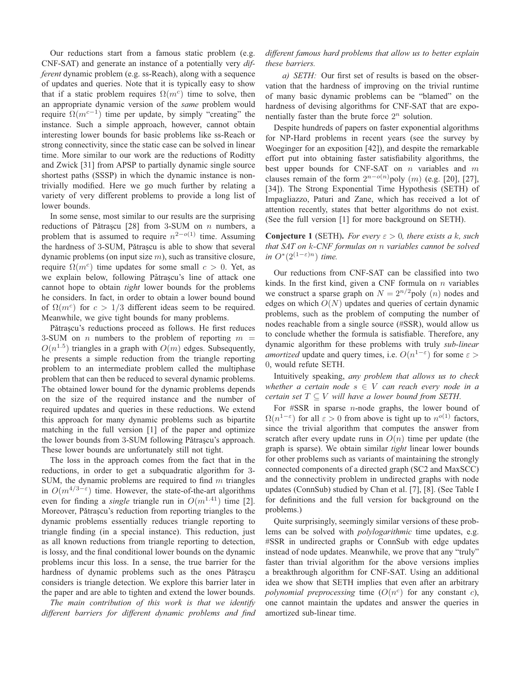Our reductions start from a famous static problem (e.g. CNF-SAT) and generate an instance of a potentially very *different* dynamic problem (e.g. ss-Reach), along with a sequence of updates and queries. Note that it is typically easy to show that if a static problem requires  $\Omega(m^c)$  time to solve, then an appropriate dynamic version of the *same* problem would require  $\Omega(m^{c-1})$  time per update, by simply "creating" the instance. Such a simple approach, however, cannot obtain interesting lower bounds for basic problems like ss-Reach or strong connectivity, since the static case can be solved in linear time. More similar to our work are the reductions of Roditty and Zwick [31] from APSP to partially dynamic single source shortest paths (SSSP) in which the dynamic instance is nontrivially modified. Here we go much further by relating a variety of very different problems to provide a long list of lower bounds.

In some sense, most similar to our results are the surprising reductions of Pătrașcu [28] from 3-SUM on  $n$  numbers, a problem that is assumed to require  $n^{2-o(1)}$  time. Assuming the hardness of 3-SUM, Pǎtrascu is able to show that several dynamic problems (on input size  $m$ ), such as transitive closure, require  $\Omega(m^c)$  time updates for some small  $c > 0$ . Yet, as we explain below, following Pătrașcu's line of attack one cannot hope to obtain *tight* lower bounds for the problems he considers. In fact, in order to obtain a lower bound bound of  $\Omega(m^c)$  for  $c > 1/3$  different ideas seem to be required. Meanwhile, we give tight bounds for many problems.

Pătrașcu's reductions proceed as follows. He first reduces 3-SUM on *n* numbers to the problem of reporting  $m =$  $O(n^{1.5})$  triangles in a graph with  $O(m)$  edges. Subsequently, he presents a simple reduction from the triangle reporting problem to an intermediate problem called the multiphase problem that can then be reduced to several dynamic problems. The obtained lower bound for the dynamic problems depends on the size of the required instance and the number of required updates and queries in these reductions. We extend this approach for many dynamic problems such as bipartite matching in the full version [1] of the paper and optimize the lower bounds from 3-SUM following Pătrașcu's approach. These lower bounds are unfortunately still not tight.

The loss in the approach comes from the fact that in the reductions, in order to get a subquadratic algorithm for 3- SUM, the dynamic problems are required to find  $m$  triangles in  $O(m^{4/3-\epsilon})$  time. However, the state-of-the-art algorithms even for finding a *single* triangle run in  $O(m^{1.41})$  time [2]. Moreover, Pătrașcu's reduction from reporting triangles to the dynamic problems essentially reduces triangle reporting to triangle finding (in a special instance). This reduction, just as all known reductions from triangle reporting to detection, is lossy, and the final conditional lower bounds on the dynamic problems incur this loss. In a sense, the true barrier for the hardness of dynamic problems such as the ones Pătrascu considers is triangle detection. We explore this barrier later in the paper and are able to tighten and extend the lower bounds.

*The main contribution of this work is that we identify different barriers for different dynamic problems and find*

# *different famous hard problems that allow us to better explain these barriers.*

*a) SETH:* Our first set of results is based on the observation that the hardness of improving on the trivial runtime of many basic dynamic problems can be "blamed" on the hardness of devising algorithms for CNF-SAT that are exponentially faster than the brute force  $2<sup>n</sup>$  solution.

Despite hundreds of papers on faster exponential algorithms for NP-Hard problems in recent years (see the survey by Woeginger for an exposition [42]), and despite the remarkable effort put into obtaining faster satisfiability algorithms, the best upper bounds for CNF-SAT on  $n$  variables and  $m$ clauses remain of the form  $2^{n-o(n)}$ poly  $(m)$  (e.g. [20], [27], [34]). The Strong Exponential Time Hypothesis (SETH) of Impagliazzo, Paturi and Zane, which has received a lot of attention recently, states that better algorithms do not exist. (See the full version [1] for more background on SETH).

**Conjecture 1** (SETH). *For every*  $\varepsilon > 0$ *, there exists a k, such that SAT on* k*-CNF formulas on* n *variables cannot be solved in*  $O^*(2^{(1-\varepsilon)n})$  *time.* 

Our reductions from CNF-SAT can be classified into two kinds. In the first kind, given a CNF formula on  $n$  variables we construct a sparse graph on  $N = 2^{n/2}$ poly  $(n)$  nodes and edges on which  $O(N)$  updates and queries of certain dynamic problems, such as the problem of computing the number of nodes reachable from a single source (#SSR), would allow us to conclude whether the formula is satisfiable. Therefore, any dynamic algorithm for these problems with truly *sub-linear amortized* update and query times, i.e.  $O(n^{1-\epsilon})$  for some  $\varepsilon >$ 0, would refute SETH.

Intuitively speaking, *any problem that allows us to check whether a certain node* s ∈ V *can reach every node in a certain set*  $T \subseteq V$  *will have a lower bound from SETH.* 

For  $#SSR$  in sparse *n*-node graphs, the lower bound of  $\Omega(n^{1-\epsilon})$  for all  $\varepsilon > 0$  from above is tight up to  $n^{o(1)}$  factors, since the trivial algorithm that computes the answer from scratch after every update runs in  $O(n)$  time per update (the graph is sparse). We obtain similar *tight* linear lower bounds for other problems such as variants of maintaining the strongly connected components of a directed graph (SC2 and MaxSCC) and the connectivity problem in undirected graphs with node updates (ConnSub) studied by Chan et al. [7], [8]. (See Table I for definitions and the full version for background on the problems.)

Quite surprisingly, seemingly similar versions of these problems can be solved with *polylogarithmic* time updates, e.g. #SSR in undirected graphs or ConnSub with edge updates instead of node updates. Meanwhile, we prove that any "truly" faster than trivial algorithm for the above versions implies a breakthrough algorithm for CNF-SAT. Using an additional idea we show that SETH implies that even after an arbitrary *polynomial preprocessing* time  $(O(n^c))$  for any constant c), one cannot maintain the updates and answer the queries in amortized sub-linear time.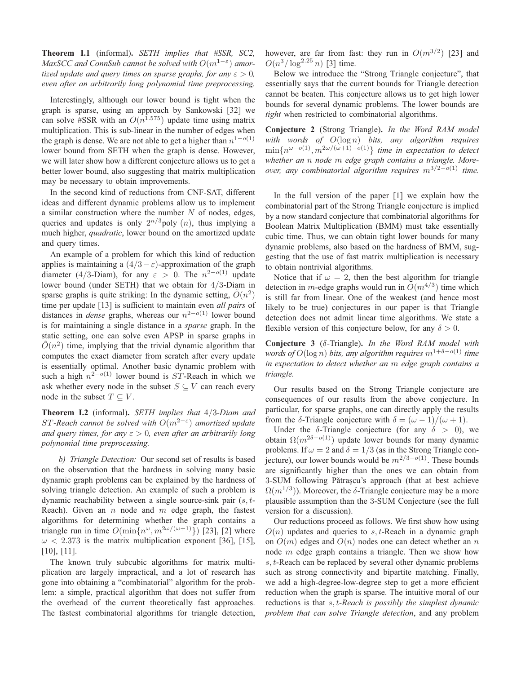**Theorem I.1** (informal)**.** *SETH implies that #SSR, SC2, MaxSCC and ConnSub cannot be solved with*  $O(m^{1-\epsilon})$  *amortized update and query times on sparse graphs, for any*  $\varepsilon > 0$ *, even after an arbitrarily long polynomial time preprocessing.*

Interestingly, although our lower bound is tight when the graph is sparse, using an approach by Sankowski [32] we can solve #SSR with an  $O(n^{1.575})$  update time using matrix multiplication. This is sub-linear in the number of edges when the graph is dense. We are not able to get a higher than  $n^{1-o(1)}$ lower bound from SETH when the graph is dense. However, we will later show how a different conjecture allows us to get a better lower bound, also suggesting that matrix multiplication may be necessary to obtain improvements.

In the second kind of reductions from CNF-SAT, different ideas and different dynamic problems allow us to implement a similar construction where the number  $N$  of nodes, edges, queries and updates is only  $2^{n/3}$ poly  $(n)$ , thus implying a much higher, *quadratic*, lower bound on the amortized update and query times.

An example of a problem for which this kind of reduction applies is maintaining a  $(4/3 - \varepsilon)$ -approximation of the graph diameter (4/3-Diam), for any  $\varepsilon > 0$ . The  $n^{2-o(1)}$  update lower bound (under SETH) that we obtain for 4/3-Diam in sparse graphs is quite striking: In the dynamic setting,  $\tilde{O}(n^2)$ time per update [13] is sufficient to maintain even *all pairs* of distances in *dense* graphs, whereas our  $n^{2-o(1)}$  lower bound is for maintaining a single distance in a *sparse* graph. In the static setting, one can solve even APSP in sparse graphs in  $\tilde{O}(n^2)$  time, implying that the trivial dynamic algorithm that computes the exact diameter from scratch after every update is essentially optimal. Another basic dynamic problem with such a high  $n^{2-o(1)}$  lower bound is ST-Reach in which we ask whether every node in the subset  $S \subseteq V$  can reach every node in the subset  $T \subseteq V$ .

**Theorem I.2** (informal)**.** *SETH implies that* 4/3*-Diam and* ST*-Reach cannot be solved with* <sup>O</sup>(m2−ε) *amortized update and query times, for any* ε > 0*, even after an arbitrarily long polynomial time preprocessing.*

*b) Triangle Detection:* Our second set of results is based on the observation that the hardness in solving many basic dynamic graph problems can be explained by the hardness of solving triangle detection. An example of such a problem is dynamic reachability between a single source-sink pair  $(s, t$ -Reach). Given an  $n$  node and  $m$  edge graph, the fastest algorithms for determining whether the graph contains a triangle run in time  $O(\min\{n^{\omega}, m^{2\omega/(\omega+1)}\})$  [23], [2] where  $\omega$  < 2.373 is the matrix multiplication exponent [36], [15], [10], [11].

The known truly subcubic algorithms for matrix multiplication are largely impractical, and a lot of research has gone into obtaining a "combinatorial" algorithm for the problem: a simple, practical algorithm that does not suffer from the overhead of the current theoretically fast approaches. The fastest combinatorial algorithms for triangle detection, however, are far from fast: they run in  $O(m^{3/2})$  [23] and  $O(n^3/\log^{2.25} n)$  [3] time.

Below we introduce the "Strong Triangle conjecture", that essentially says that the current bounds for Triangle detection cannot be beaten. This conjecture allows us to get high lower bounds for several dynamic problems. The lower bounds are *tight* when restricted to combinatorial algorithms.

**Conjecture 2** (Strong Triangle)**.** *In the Word RAM model with words of* <sup>O</sup>(log <sup>n</sup>) *bits, any algorithm requires*  $\min\{n^{\omega-o(1)}, m^{2\omega/(\omega+1)-o(1)}\}$  *time in expectation to detect whether an* n *node* m *edge graph contains a triangle. Moreover, any combinatorial algorithm requires* m<sup>3</sup>/2−o(1) *time.*

In the full version of the paper [1] we explain how the combinatorial part of the Strong Triangle conjecture is implied by a now standard conjecture that combinatorial algorithms for Boolean Matrix Multiplication (BMM) must take essentially cubic time. Thus, we can obtain tight lower bounds for many dynamic problems, also based on the hardness of BMM, suggesting that the use of fast matrix multiplication is necessary to obtain nontrivial algorithms.

Notice that if  $\omega = 2$ , then the best algorithm for triangle detection in m-edge graphs would run in  $O(m^{4/3})$  time which is still far from linear. One of the weakest (and hence most likely to be true) conjectures in our paper is that Triangle detection does not admit linear time algorithms. We state a flexible version of this conjecture below, for any  $\delta > 0$ .

**Conjecture 3** (δ-Triangle)**.** *In the Word RAM model with words of*  $O(\log n)$  *bits, any algorithm requires*  $m^{1+\delta-o(1)}$  *time in expectation to detect whether an* m *edge graph contains a triangle.*

Our results based on the Strong Triangle conjecture are consequences of our results from the above conjecture. In particular, for sparse graphs, one can directly apply the results from the δ-Triangle conjecture with  $\delta = (\omega - 1)/(\omega + 1)$ .

Under the  $\delta$ -Triangle conjecture (for any  $\delta > 0$ ), we obtain  $\Omega(m^{2\delta - o(1)})$  update lower bounds for many dynamic problems. If  $\omega = 2$  and  $\delta = 1/3$  (as in the Strong Triangle conjecture), our lower bounds would be  $m^{2/3-o(1)}$ . These bounds are significantly higher than the ones we can obtain from 3-SUM following Pǎtrascu's approach (that at best achieve  $\Omega(m^{1/3})$ ). Moreover, the δ-Triangle conjecture may be a more plausible assumption than the 3-SUM Conjecture (see the full version for a discussion).

Our reductions proceed as follows. We first show how using  $O(n)$  updates and queries to s, t-Reach in a dynamic graph on  $O(m)$  edges and  $O(n)$  nodes one can detect whether an n node  $m$  edge graph contains a triangle. Then we show how s, t-Reach can be replaced by several other dynamic problems such as strong connectivity and bipartite matching. Finally, we add a high-degree-low-degree step to get a more efficient reduction when the graph is sparse. The intuitive moral of our reductions is that s, t*-Reach is possibly the simplest dynamic problem that can solve Triangle detection*, and any problem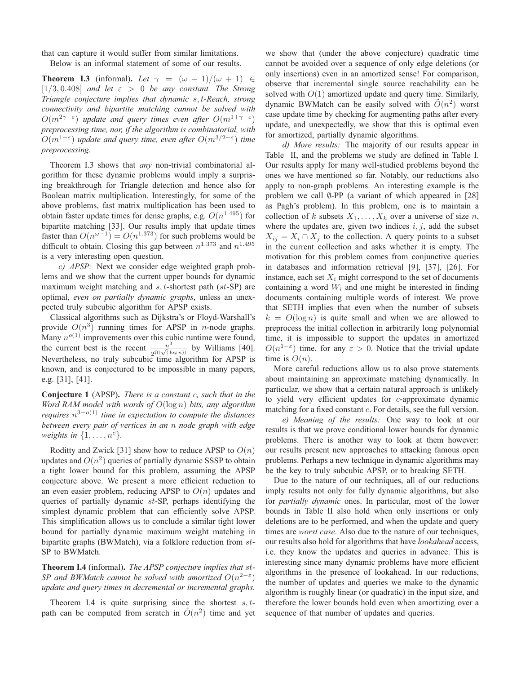that can capture it would suffer from similar limitations.

Below is an informal statement of some of our results.

**Theorem I.3** (informal). Let  $\gamma = (\omega - 1)/(\omega + 1) \in$ [ $1/3, 0.408$ ] *and let*  $\varepsilon > 0$  *be any constant. The Strong Triangle conjecture implies that dynamic* s, t*-Reach, strong connectivity and bipartite matching cannot be solved with*  $O(m^{2\gamma-\epsilon})$  *update and query times even after*  $O(m^{1+\gamma-\epsilon})$ *preprocessing time, nor, if the algorithm is combinatorial, with*  $O(m^{1-\epsilon})$  *update and query time, even after*  $O(m^{3/2-\epsilon})$  *time preprocessing.*

Theorem I.3 shows that *any* non-trivial combinatorial algorithm for these dynamic problems would imply a surprising breakthrough for Triangle detection and hence also for Boolean matrix multiplication. Interestingly, for some of the above problems, fast matrix multiplication has been used to obtain faster update times for dense graphs, e.g.  $O(n^{1.495})$  for bipartite matching [33]. Our results imply that update times faster than  $O(n^{\omega-1}) = O(n^{1.373})$  for such problems would be difficult to obtain. Closing this gap between  $n^{1.373}$  and  $n^{1.495}$ is a very interesting open question.

*c) APSP:* Next we consider edge weighted graph problems and we show that the current upper bounds for dynamic maximum weight matching and  $s, t$ -shortest path  $(st$ -SP) are optimal, *even on partially dynamic graphs*, unless an unexpected truly subcubic algorithm for APSP exists.

Classical algorithms such as Dijkstra's or Floyd-Warshall's provide  $O(n^3)$  running times for APSP in *n*-node graphs. Many  $n^{o(1)}$  improvements over this cubic runtime were found, the current best is the recent  $\frac{n^3}{2^{\Omega(\sqrt{(\log n)}})}$  by Williams [40]. Nevertheless, no truly subcubic time algorithm for APSP is known, and is conjectured to be impossible in many papers, e.g. [31], [41].

**Conjecture 1** (APSP)**.** *There is a constant* c*, such that in the Word RAM model with words of* <sup>O</sup>(log <sup>n</sup>) *bits, any algorithm requires* n3−o(1) *time in expectation to compute the distances between every pair of vertices in an* n *node graph with edge weights in*  $\{1, \ldots, n^c\}$ *.* 

Roditty and Zwick [31] show how to reduce APSP to  $O(n)$ updates and  $O(n^2)$  queries of partially dynamic SSSP to obtain a tight lower bound for this problem, assuming the APSP conjecture above. We present a more efficient reduction to an even easier problem, reducing APSP to  $O(n)$  updates and queries of partially dynamic st-SP, perhaps identifying the simplest dynamic problem that can efficiently solve APSP. This simplification allows us to conclude a similar tight lower bound for partially dynamic maximum weight matching in bipartite graphs (BWMatch), via a folklore reduction from st-SP to BWMatch.

**Theorem I.4** (informal)**.** *The APSP conjecture implies that* st*-SP and BWMatch cannot be solved with amortized*  $O(n^{2-\epsilon})$ *update and query times in decremental or incremental graphs.*

Theorem I.4 is quite surprising since the shortest  $s, t$ path can be computed from scratch in  $\tilde{O}(n^2)$  time and yet we show that (under the above conjecture) quadratic time cannot be avoided over a sequence of only edge deletions (or only insertions) even in an amortized sense! For comparison, observe that incremental single source reachability can be solved with  $O(1)$  amortized update and query time. Similarly, dynamic BWMatch can be easily solved with  $O(n^2)$  worst case update time by checking for augmenting paths after every update, and unexpectedly, we show that this is optimal even for amortized, partially dynamic algorithms.

*d) More results:* The majority of our results appear in Table II, and the problems we study are defined in Table I. Our results apply for many well-studied problems beyond the ones we have mentioned so far. Notably, our reductions also apply to non-graph problems. An interesting example is the problem we call  $\emptyset$ -PP (a variant of which appeared in [28] as Pagh's problem). In this problem, one is to maintain a collection of k subsets  $X_1, \ldots, X_k$  over a universe of size n, where the updates are, given two indices  $i, j$ , add the subset  $X_{ij} = X_i \cap X_j$  to the collection. A query points to a subset in the current collection and asks whether it is empty. The motivation for this problem comes from conjunctive queries in databases and information retrieval [9], [37], [26]. For instance, each set  $X_i$  might correspond to the set of documents containing a word  $W_i$  and one might be interested in finding documents containing multiple words of interest. We prove that SETH implies that even when the number of subsets  $k = O(\log n)$  is quite small and when we are allowed to preprocess the initial collection in arbitrarily long polynomial time, it is impossible to support the updates in amortized  $O(n^{1-\epsilon})$  time, for any  $\epsilon > 0$ . Notice that the trivial update time is  $O(n)$ .

More careful reductions allow us to also prove statements about maintaining an approximate matching dynamically. In particular, we show that a certain natural approach is unlikely to yield very efficient updates for c-approximate dynamic matching for a fixed constant c. For details, see the full version.

*e) Meaning of the results:* One way to look at our results is that we prove conditional lower bounds for dynamic problems. There is another way to look at them however: our results present new approaches to attacking famous open problems. Perhaps a new technique in dynamic algorithms may be the key to truly subcubic APSP, or to breaking SETH.

Due to the nature of our techniques, all of our reductions imply results not only for fully dynamic algorithms, but also for *partially dynamic* ones. In particular, most of the lower bounds in Table II also hold when only insertions or only deletions are to be performed, and when the update and query times are *worst case*. Also due to the nature of our techniques, our results also hold for algorithms that have *lookahead* access, i.e. they know the updates and queries in advance. This is interesting since many dynamic problems have more efficient algorithms in the presence of lookahead. In our reductions, the number of updates and queries we make to the dynamic algorithm is roughly linear (or quadratic) in the input size, and therefore the lower bounds hold even when amortizing over a sequence of that number of updates and queries.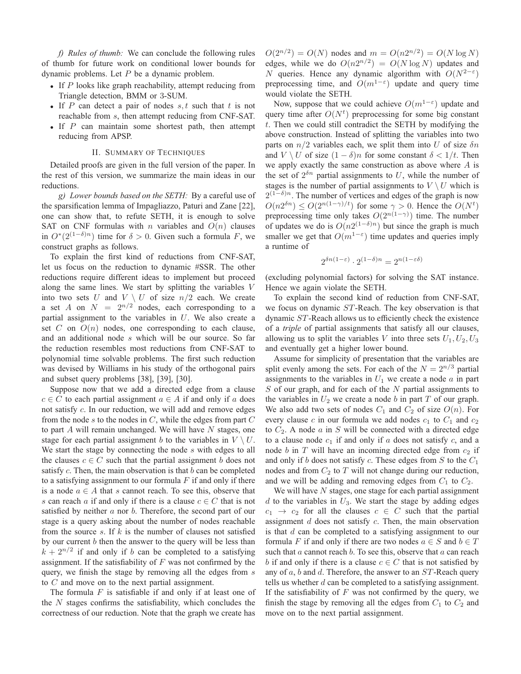*f) Rules of thumb:* We can conclude the following rules of thumb for future work on conditional lower bounds for dynamic problems. Let  $P$  be a dynamic problem.

- If  $P$  looks like graph reachability, attempt reducing from Triangle detection, BMM or 3-SUM.
- If P can detect a pair of nodes  $s, t$  such that t is not reachable from s, then attempt reducing from CNF-SAT.
- If  $P$  can maintain some shortest path, then attempt reducing from APSP.

#### II. SUMMARY OF TECHNIQUES

Detailed proofs are given in the full version of the paper. In the rest of this version, we summarize the main ideas in our reductions.

*g) Lower bounds based on the SETH:* By a careful use of the sparsification lemma of Impagliazzo, Paturi and Zane [22], one can show that, to refute SETH, it is enough to solve SAT on CNF formulas with *n* variables and  $O(n)$  clauses in  $O^*(2^{(1-\delta)n})$  time for  $\delta > 0$ . Given such a formula F, we construct graphs as follows.

To explain the first kind of reductions from CNF-SAT, let us focus on the reduction to dynamic #SSR. The other reductions require different ideas to implement but proceed along the same lines. We start by splitting the variables V into two sets U and  $V \setminus U$  of size  $n/2$  each. We create a set A on  $N = 2^{n/2}$  nodes, each corresponding to a partial assignment to the variables in  $U$ . We also create a set  $C$  on  $O(n)$  nodes, one corresponding to each clause, and an additional node s which will be our source. So far the reduction resembles most reductions from CNF-SAT to polynomial time solvable problems. The first such reduction was devised by Williams in his study of the orthogonal pairs and subset query problems [38], [39], [30].

Suppose now that we add a directed edge from a clause  $c \in C$  to each partial assignment  $a \in A$  if and only if a does not satisfy c. In our reduction, we will add and remove edges from the node s to the nodes in  $C$ , while the edges from part  $C$ to part  $A$  will remain unchanged. We will have  $N$  stages, one stage for each partial assignment b to the variables in  $V \setminus U$ . We start the stage by connecting the node s with edges to all the clauses  $c \in C$  such that the partial assignment b does not satisfy  $c$ . Then, the main observation is that  $b$  can be completed to a satisfying assignment to our formula  $F$  if and only if there is a node  $a \in A$  that s cannot reach. To see this, observe that s can reach a if and only if there is a clause  $c \in C$  that is not satisfied by neither a nor b. Therefore, the second part of our stage is a query asking about the number of nodes reachable from the source  $s$ . If  $k$  is the number of clauses not satisfied by our current b then the answer to the query will be less than  $k + 2^{n/2}$  if and only if b can be completed to a satisfying assignment. If the satisfiability of  $F$  was not confirmed by the query, we finish the stage by removing all the edges from s to C and move on to the next partial assignment.

The formula  $F$  is satisfiable if and only if at least one of the  $N$  stages confirms the satisfiability, which concludes the correctness of our reduction. Note that the graph we create has  $O(2^{n/2}) = O(N)$  nodes and  $m = O(n2^{n/2}) = O(N \log N)$ edges, while we do  $O(n2^{n/2}) = O(N \log N)$  updates and N queries. Hence any dynamic algorithm with  $O(N^{2-\epsilon})$ preprocessing time, and  $O(m^{1-\epsilon})$  update and query time would violate the SETH.

Now, suppose that we could achieve  $O(m^{1-\epsilon})$  update and query time after  $O(N^t)$  preprocessing for some big constant  $t$ . Then we could still contradict the SETH by modifying the t. Then we could still contradict the SETH by modifying the above construction. Instead of splitting the variables into two parts on  $n/2$  variables each, we split them into U of size  $\delta n$ and  $V \setminus U$  of size  $(1 - \delta)n$  for some constant  $\delta < 1/t$ . Then we apply exactly the same construction as above where A is the set of  $2^{\delta n}$  partial assignments to U, while the number of stages is the number of partial assignments to  $V \setminus U$  which is  $2^{(1-\delta)n}$ . The number of vertices and edges of the graph is now  $O(n2^{\delta n}) \leq O(2^{n(1-\gamma)/t})$  for some  $\gamma > 0$ . Hence the  $O(N^t)$ preprocessing time only takes  $O(2^{n(1-\gamma)})$  time. The number<br>of undates we do is  $O(n^{2(1-\delta)n})$  but since the graph is much of updates we do is  $O(n2^{(1-\delta)n})$  but since the graph is much smaller we get that  $O(m^{1-\epsilon})$  time updates and queries imply a runtime of

$$
2^{\delta n(1-\varepsilon)} \cdot 2^{(1-\delta)n} = 2^{n(1-\varepsilon\delta)}
$$

(excluding polynomial factors) for solving the SAT instance. Hence we again violate the SETH.

To explain the second kind of reduction from CNF-SAT, we focus on dynamic ST-Reach. The key observation is that dynamic ST-Reach allows us to efficiently check the existence of a *triple* of partial assignments that satisfy all our clauses, allowing us to split the variables V into three sets  $U_1, U_2, U_3$ and eventually get a higher lower bound.

Assume for simplicity of presentation that the variables are split evenly among the sets. For each of the  $N = 2^{n/3}$  partial assignments to the variables in  $U_1$  we create a node  $a$  in part  $S$  of our graph, and for each of the  $N$  partial assignments to the variables in  $U_2$  we create a node b in part T of our graph. We also add two sets of nodes  $C_1$  and  $C_2$  of size  $O(n)$ . For every clause c in our formula we add nodes  $c_1$  to  $C_1$  and  $c_2$ to  $C_2$ . A node  $a$  in  $S$  will be connected with a directed edge to a clause node  $c_1$  if and only if a does not satisfy c, and a node b in  $T$  will have an incoming directed edge from  $c_2$  if and only if b does not satisfy c. These edges from  $S$  to the  $C_1$ nodes and from  $C_2$  to  $T$  will not change during our reduction, and we will be adding and removing edges from  $C_1$  to  $C_2$ .

We will have  $N$  stages, one stage for each partial assignment  $d$  to the variables in  $U_3$ . We start the stage by adding edges  $c_1 \rightarrow c_2$  for all the clauses  $c \in C$  such that the partial assignment  $d$  does not satisfy  $c$ . Then, the main observation is that d can be completed to a satisfying assignment to our formula F if and only if there are two nodes  $a \in S$  and  $b \in T$ such that  $a$  cannot reach  $b$ . To see this, observe that  $a$  can reach b if and only if there is a clause  $c \in C$  that is not satisfied by any of  $a, b$  and  $d$ . Therefore, the answer to an  $ST$ -Reach query tells us whether  $d$  can be completed to a satisfying assignment. If the satisfiability of  $F$  was not confirmed by the query, we finish the stage by removing all the edges from  $C_1$  to  $C_2$  and move on to the next partial assignment.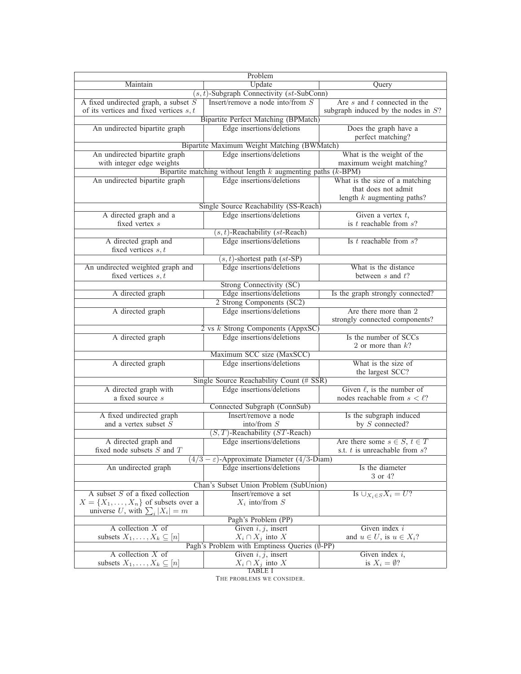| Problem                                                                                               |                                                                   |                                                     |  |  |  |  |  |  |  |
|-------------------------------------------------------------------------------------------------------|-------------------------------------------------------------------|-----------------------------------------------------|--|--|--|--|--|--|--|
| Maintain                                                                                              | Update                                                            | Query                                               |  |  |  |  |  |  |  |
|                                                                                                       | $(s, t)$ -Subgraph Connectivity (st-SubConn)                      |                                                     |  |  |  |  |  |  |  |
| A fixed undirected graph, a subset $S$                                                                | Insert/remove a node into/from $S$                                | Are s and t connected in the                        |  |  |  |  |  |  |  |
| of its vertices and fixed vertices $s, t$                                                             |                                                                   | subgraph induced by the nodes in $S$ ?              |  |  |  |  |  |  |  |
| <b>Bipartite Perfect Matching (BPMatch)</b>                                                           |                                                                   |                                                     |  |  |  |  |  |  |  |
| An undirected bipartite graph                                                                         | Edge insertions/deletions                                         | Does the graph have a                               |  |  |  |  |  |  |  |
|                                                                                                       |                                                                   | perfect matching?                                   |  |  |  |  |  |  |  |
| Bipartite Maximum Weight Matching (BWMatch)                                                           |                                                                   |                                                     |  |  |  |  |  |  |  |
| An undirected bipartite graph                                                                         | Edge insertions/deletions                                         | What is the weight of the                           |  |  |  |  |  |  |  |
|                                                                                                       | with integer edge weights<br>maximum weight matching?             |                                                     |  |  |  |  |  |  |  |
|                                                                                                       | Bipartite matching without length $k$ augmenting paths $(k$ -BPM) |                                                     |  |  |  |  |  |  |  |
| An undirected bipartite graph                                                                         | Edge insertions/deletions                                         | What is the size of a matching                      |  |  |  |  |  |  |  |
|                                                                                                       |                                                                   | that does not admit                                 |  |  |  |  |  |  |  |
|                                                                                                       |                                                                   | length $k$ augmenting paths?                        |  |  |  |  |  |  |  |
|                                                                                                       | <b>Single Source Reachability (SS-Reach)</b>                      |                                                     |  |  |  |  |  |  |  |
| A directed graph and a<br>fixed vertex s                                                              | Edge insertions/deletions                                         | Given a vertex $t$ ,<br>is $t$ reachable from $s$ ? |  |  |  |  |  |  |  |
|                                                                                                       |                                                                   |                                                     |  |  |  |  |  |  |  |
|                                                                                                       | $(s, t)$ -Reachability (st-Reach)                                 | Is $t$ reachable from $s$ ?                         |  |  |  |  |  |  |  |
| A directed graph and<br>fixed vertices $s, t$                                                         | Edge insertions/deletions                                         |                                                     |  |  |  |  |  |  |  |
|                                                                                                       | $(s, t)$ -shortest path $(st$ -SP)                                |                                                     |  |  |  |  |  |  |  |
| An undirected weighted graph and                                                                      | Edge insertions/deletions                                         | What is the distance                                |  |  |  |  |  |  |  |
| fixed vertices $s, t$                                                                                 |                                                                   | between $s$ and $t$ ?                               |  |  |  |  |  |  |  |
|                                                                                                       | Strong Connectivity (SC)                                          |                                                     |  |  |  |  |  |  |  |
| A directed graph                                                                                      | Edge insertions/deletions                                         | Is the graph strongly connected?                    |  |  |  |  |  |  |  |
|                                                                                                       | 2 Strong Components (SC2)                                         |                                                     |  |  |  |  |  |  |  |
| A directed graph                                                                                      | Edge insertions/deletions                                         | Are there more than 2                               |  |  |  |  |  |  |  |
|                                                                                                       |                                                                   | strongly connected components?                      |  |  |  |  |  |  |  |
|                                                                                                       | 2 vs k Strong Components (AppxSC)                                 |                                                     |  |  |  |  |  |  |  |
| A directed graph                                                                                      | Edge insertions/deletions                                         | Is the number of SCCs                               |  |  |  |  |  |  |  |
|                                                                                                       |                                                                   | 2 or more than $k$ ?                                |  |  |  |  |  |  |  |
|                                                                                                       | Maximum SCC size (MaxSCC)                                         |                                                     |  |  |  |  |  |  |  |
| A directed graph                                                                                      | Edge insertions/deletions                                         | What is the size of                                 |  |  |  |  |  |  |  |
|                                                                                                       |                                                                   | the largest SCC?                                    |  |  |  |  |  |  |  |
|                                                                                                       | Single Source Reachability Count (# SSR)                          |                                                     |  |  |  |  |  |  |  |
| A directed graph with                                                                                 | Edge insertions/deletions                                         | Given $\ell$ , is the number of                     |  |  |  |  |  |  |  |
| a fixed source s                                                                                      |                                                                   | nodes reachable from $s < l$ ?                      |  |  |  |  |  |  |  |
|                                                                                                       | Connected Subgraph (ConnSub)                                      |                                                     |  |  |  |  |  |  |  |
| A fixed undirected graph                                                                              | Insert/remove a node                                              | Is the subgraph induced                             |  |  |  |  |  |  |  |
| and a vertex subset S                                                                                 | into/from $S$                                                     | by $S$ connected?                                   |  |  |  |  |  |  |  |
| $(S, T)$ -Reachability $(ST$ -Reach)                                                                  |                                                                   |                                                     |  |  |  |  |  |  |  |
| A directed graph and                                                                                  | Edge insertions/deletions                                         | Are there some $s \in S$ , $t \in T$                |  |  |  |  |  |  |  |
| fixed node subsets $S$ and $T$                                                                        |                                                                   | s.t. t is unreachable from s?                       |  |  |  |  |  |  |  |
| $\sqrt{(4/3-\varepsilon)}$ -Approximate Diameter $\sqrt{(4/3-Diam)}$                                  |                                                                   |                                                     |  |  |  |  |  |  |  |
| An undirected graph                                                                                   | Edge insertions/deletions                                         | Is the diameter                                     |  |  |  |  |  |  |  |
|                                                                                                       |                                                                   | 3 or 4?                                             |  |  |  |  |  |  |  |
| Chan's Subset Union Problem (SubUnion)                                                                |                                                                   |                                                     |  |  |  |  |  |  |  |
| A subset $S$ of a fixed collection                                                                    | Insert/remove a set                                               | Is $\cup_{X_i \in S} X_i = U?$                      |  |  |  |  |  |  |  |
| $X = \{X_1, \ldots, X_n\}$ of subsets over a                                                          | $X_i$ into/from $S$                                               |                                                     |  |  |  |  |  |  |  |
| universe U, with $\sum_i  X_i  = m$                                                                   |                                                                   |                                                     |  |  |  |  |  |  |  |
|                                                                                                       | Pagh's Problem (PP)                                               |                                                     |  |  |  |  |  |  |  |
| A collection $X$ of                                                                                   | Given $i, j$ , insert                                             | Given index $i$                                     |  |  |  |  |  |  |  |
| subsets $X_1, \ldots, X_k \subseteq [n]$<br>$X_i \cap X_j$ into X<br>and $u \in U$ , is $u \in X_i$ ? |                                                                   |                                                     |  |  |  |  |  |  |  |
| Pagh's Problem with Emptiness Queries (Ø-PP)                                                          |                                                                   |                                                     |  |  |  |  |  |  |  |
| A collection $X$ of                                                                                   | Given $i, j$ , insert                                             | Given index $i$ ,                                   |  |  |  |  |  |  |  |
| subsets $X_1, \ldots, X_k \subseteq [n]$                                                              | $X_i \cap X_j$ into X<br>TABLE I                                  | is $X_i = \emptyset$ ?                              |  |  |  |  |  |  |  |
|                                                                                                       |                                                                   |                                                     |  |  |  |  |  |  |  |

THE PROBLEMS WE CONSIDER.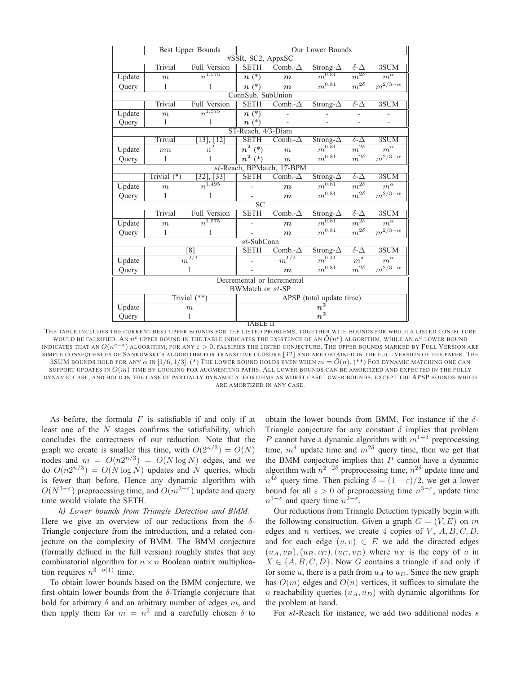|                            | <b>Best Upper Bounds</b> |                        | Our Lower Bounds         |                          |                                         |                     |                         |  |  |
|----------------------------|--------------------------|------------------------|--------------------------|--------------------------|-----------------------------------------|---------------------|-------------------------|--|--|
| #SSR, SC2, AppxSC          |                          |                        |                          |                          |                                         |                     |                         |  |  |
|                            | Trivial                  | Full Version           | <b>SETH</b>              | Comb.- $\Delta$          | Strong- $\Delta$                        | $\delta$ - $\Delta$ | 3SUM                    |  |  |
| Update                     | m                        | $n^{1.575}$            | $n(*)$                   | $\boldsymbol{m}$         | $\overline{m^{0.81}}$                   | $m^{2\delta}$       | $m^{\alpha}$            |  |  |
| Query                      | $\mathbf{1}$             | 1                      | $n(*)$                   | $\boldsymbol{m}$         | $m^{0.81}$                              | $m^{2\delta}$       | $m^{2/3-\alpha}$        |  |  |
| ConnSub, SubUnion          |                          |                        |                          |                          |                                         |                     |                         |  |  |
|                            | Trivial                  | Full Version           | <b>SETH</b>              | Comb.- $\Delta$          | Strong- $\Delta$                        | $\delta$ - $\Delta$ | 3SUM                    |  |  |
| Update                     | $\boldsymbol{m}$         | $n^{1.575}$            | $n(*)$                   | $\overline{\phantom{a}}$ |                                         |                     |                         |  |  |
| Query                      | $\mathbf{1}$             | 1                      | $n(*)$                   |                          |                                         |                     |                         |  |  |
| ST-Reach, 4/3-Diam         |                          |                        |                          |                          |                                         |                     |                         |  |  |
|                            | Trivial                  | $[13]$ , $[12]$        | <b>SETH</b>              | Comb.- $\Delta$          | Strong- $\Delta$                        | $\delta$ - $\Delta$ | $35$ UM                 |  |  |
| Update                     | mn                       | $\overline{n}^2$       | $\overline{n^2\ (^*)}$   | $\boldsymbol{m}$         | $\overline{m^{0.81}}$                   | $m^{2\delta}$       | $\overline{m}^{\alpha}$ |  |  |
| Query                      | $\mathbf{1}$             | 1                      | $n^2 (*)$                | m                        | $m^{0.81}\,$                            | $m^{2\delta}$       | $m^{2/3-\alpha}$        |  |  |
| st-Reach, BPMatch, 17-BPM  |                          |                        |                          |                          |                                         |                     |                         |  |  |
|                            | Trivial $(*)$            | [32], [33]             | <b>SETH</b>              | Comb.- $\Delta$          | Strong- $\Delta$                        | $\delta-\Delta$     | 3SUM                    |  |  |
| Update                     | $\boldsymbol{m}$         | $\overline{n^{1.495}}$ |                          | $\boldsymbol{m}$         | $\overline{m^{0.81}}$                   | $m^{2\delta}$       | $m^{\alpha}$            |  |  |
| Query                      | $\mathbf{1}$             | 1                      |                          | $\boldsymbol{m}$         | $m^{0.81}$                              | $m^{2\delta}$       | $m^{2/3-\alpha}$        |  |  |
| $\overline{SC}$            |                          |                        |                          |                          |                                         |                     |                         |  |  |
|                            | Trivial                  | <b>Full Version</b>    | <b>SETH</b>              | Comb.- $\Delta$          | $\frac{\text{Strong-}\Delta}{m^{0.81}}$ | $\delta$ - $\Delta$ | 3SUM                    |  |  |
| Update                     | m                        | $n^{1.575}$            |                          | $\boldsymbol{m}$         |                                         | $m^{2\delta}$       | $\overline{m^{\alpha}}$ |  |  |
| Query                      | $\mathbf{1}$             | $\mathbf{1}$           |                          | $\boldsymbol{m}$         | $m^{0.81}$                              | $m^{2\delta}$       | $m^{2/3-\alpha}$        |  |  |
| $st$ -SubConn              |                          |                        |                          |                          |                                         |                     |                         |  |  |
|                            | $^{[8]}$                 |                        | <b>SETH</b>              | Comb.- $\Delta$          | Strong- $\Delta$                        | $\delta-\Delta$     | 3SUM                    |  |  |
| Update                     | $\overline{m^{2/3}}$     |                        |                          | $\bar{m}^{1/2}$          | $\frac{5}{m^{0.41}}$                    | $m^{\delta}$        | $m^{\alpha}$            |  |  |
| Query                      | $\mathbf{1}$             |                        |                          | $\boldsymbol{m}$         | $m^{0.81}$                              | $m^{2\delta}$       | $m^{2/3-\alpha}$        |  |  |
| Decremental or Incremental |                          |                        |                          |                          |                                         |                     |                         |  |  |
| BWMatch or st-SP           |                          |                        |                          |                          |                                         |                     |                         |  |  |
|                            | Trivial $(**)$           |                        | APSP (total update time) |                          |                                         |                     |                         |  |  |
| Update                     | $\,m$                    |                        | $\overline{n}^2$         |                          |                                         |                     |                         |  |  |
| Query                      | $\mathbf{1}$             |                        | $n^2$                    |                          |                                         |                     |                         |  |  |
| TABLE II                   |                          |                        |                          |                          |                                         |                     |                         |  |  |

THE TABLE INCLUDES THE CURRENT BEST UPPER BOUNDS FOR THE LISTED PROBLEMS, TOGETHER WITH BOUNDS FOR WHICH A LISTED CONJECTURE WOULD BE FALSIFIED. AN  $n^c$  upper bound in the table indicates the existence of an  $\tilde{O}(n^c)$  algorithm, while an  $n^c$  lower bound INDICATES THAT AN  $O(n^{c-\epsilon})$  ALGORITHM, FOR ANY  $\varepsilon > 0$ , FALSIFIES THE LISTED CONJECTURE. THE UPPER BOUNDS MARKED BY FULL VERSION ARE SIMPLE CONSEQUENCES OF SANKOWSKI'S ALGORITHM FOR TRANSITIVE CLOSURE [32] AND ARE OBTAINED IN THE FULL VERSION OF THE PAPER. THE 3SUM BOUNDS HOLD FOR ANY  $\alpha$  in [1/6, 1/3]. (\*) The LOWER BOUND HOLDS EVEN WHEN  $m = \tilde{O}(n)$ . (\*\*) FOR DYNAMIC MATCHING ONE CAN SUPPORT UPDATES IN  $O(m)$  TIME BY LOOKING FOR AUGMENTING PATHS. ALL LOWER BOUNDS CAN BE AMORTIZED AND EXPECTED IN THE FULLY DYNAMIC CASE, AND HOLD IN THE CASE OF PARTIALLY DYNAMIC ALGORITHMS AS WORST CASE LOWER BOUNDS, EXCEPT THE APSP BOUNDS WHICH ARE AMORTIZED IN ANY CASE.

As before, the formula  $F$  is satisfiable if and only if at least one of the  $N$  stages confirms the satisfiability, which concludes the correctness of our reduction. Note that the graph we create is smaller this time, with  $O(2^{n/3}) = O(N)$ nodes and  $m = O(n2^{n/3}) = O(N \log N)$  edges, and we do  $O(n2^{n/3}) = O(N \log N)$  updates and N queries, which is fewer than before. Hence any dynamic algorithm with  $O(N^{3-\epsilon})$  preprocessing time, and  $O(m^{2-\epsilon})$  update and query time would violate the SETH.

*h) Lower bounds from Triangle Detection and BMM:* Here we give an overview of our reductions from the  $\delta$ -Triangle conjecture from the introduction, and a related conjecture on the complexity of BMM. The BMM conjecture (formally defined in the full version) roughly states that any combinatorial algorithm for  $n \times n$  Boolean matrix multiplication requires  $n^{3-o(1)}$  time.

To obtain lower bounds based on the BMM conjecture, we first obtain lower bounds from the  $\delta$ -Triangle conjecture that hold for arbitrary  $\delta$  and an arbitrary number of edges  $m$ , and then apply them for  $m = n^2$  and a carefully chosen  $\delta$  to

obtain the lower bounds from BMM. For instance if the  $\delta$ -Triangle conjecture for any constant  $\delta$  implies that problem P cannot have a dynamic algorithm with  $m^{1+\delta}$  preprocessing time,  $m^{\delta}$  update time and  $m^{2\delta}$  query time, then we get that the BMM conjecture implies that  $P$  cannot have a dynamic algorithm with  $n^{2+2\delta}$  preprocessing time,  $n^{2\delta}$  update time and  $n^{4\delta}$  query time. Then picking  $\delta = (1 - \varepsilon)/2$ , we get a lower bound for all  $\varepsilon > 0$  of preprocessing time  $n^{3-\varepsilon}$ , update time  $n^{1-\epsilon}$  and query time  $n^{2-\epsilon}$ .

Our reductions from Triangle Detection typically begin with the following construction. Given a graph  $G = (V, E)$  on m edges and *n* vertices, we create 4 copies of V,  $A, B, C, D$ , and for each edge  $(u, v) \in E$  we add the directed edges  $(u_A, v_B), (u_B, v_C), (u_C, v_D)$  where  $u_X$  is the copy of u in  $X \in \{A, B, C, D\}$ . Now G contains a triangle if and only if for some u, there is a path from  $u_A$  to  $u_D$ . Since the new graph has  $O(m)$  edges and  $O(n)$  vertices, it suffices to simulate the *n* reachability queries  $(u_A, u_D)$  with dynamic algorithms for the problem at hand.

For st-Reach for instance, we add two additional nodes s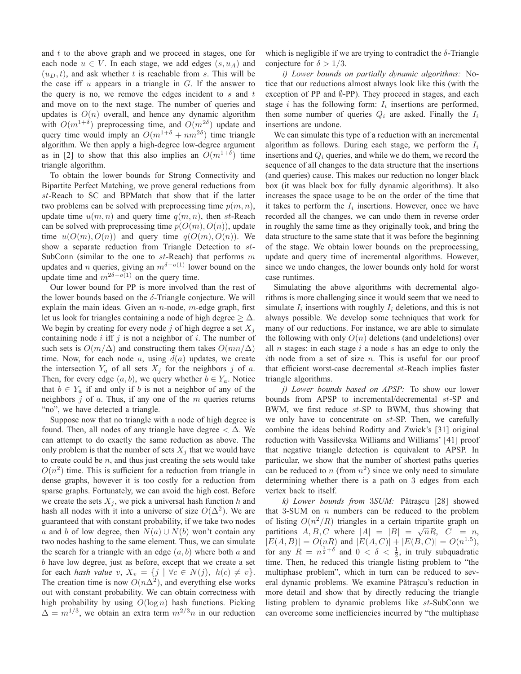and t to the above graph and we proceed in stages, one for each node  $u \in V$ . In each stage, we add edges  $(s, u<sub>A</sub>)$  and  $(u_D, t)$ , and ask whether t is reachable from s. This will be the case iff  $u$  appears in a triangle in  $G$ . If the answer to the query is no, we remove the edges incident to  $s$  and  $t$ and move on to the next stage. The number of queries and updates is  $O(n)$  overall, and hence any dynamic algorithm with  $O(m^{1+\delta})$  preprocessing time, and  $O(m^{2\delta})$  update and query time would imply an  $O(m^{1+\delta} + nm^{2\delta})$  time triangle algorithm. We then apply a high-degree low-degree argument as in [2] to show that this also implies an  $O(m^{1+\delta})$  time triangle algorithm.

To obtain the lower bounds for Strong Connectivity and Bipartite Perfect Matching, we prove general reductions from st-Reach to SC and BPMatch that show that if the latter two problems can be solved with preprocessing time  $p(m, n)$ , update time  $u(m, n)$  and query time  $q(m, n)$ , then st-Reach can be solved with preprocessing time  $p(O(m), O(n))$ , update time  $u(O(m), O(n))$  and query time  $q(O(m), O(n))$ . We show a separate reduction from Triangle Detection to st-SubConn (similar to the one to  $st$ -Reach) that performs  $m$ updates and *n* queries, giving an  $m^{\delta-o(1)}$  lower bound on the update time and  $m^{2\delta-o(1)}$  on the query time.

Our lower bound for PP is more involved than the rest of the lower bounds based on the  $\delta$ -Triangle conjecture. We will explain the main ideas. Given an  $n$ -node,  $m$ -edge graph, first let us look for triangles containing a node of high degree  $\geq \Delta$ . We begin by creating for every node j of high degree a set  $X_i$ containing node i iff j is not a neighbor of i. The number of such sets is  $O(m/\Delta)$  and constructing them takes  $O(mn/\Delta)$ time. Now, for each node a, using  $d(a)$  updates, we create the intersection  $Y_a$  of all sets  $X_j$  for the neighbors j of a. Then, for every edge  $(a, b)$ , we query whether  $b \in Y_a$ . Notice that  $b \in Y_a$  if and only if b is not a neighbor of any of the neighbors  $j$  of  $a$ . Thus, if any one of the  $m$  queries returns "no", we have detected a triangle.

Suppose now that no triangle with a node of high degree is found. Then, all nodes of any triangle have degree  $< \Delta$ . We can attempt to do exactly the same reduction as above. The only problem is that the number of sets  $X_i$  that we would have to create could be  $n$ , and thus just creating the sets would take  $O(n^2)$  time. This is sufficient for a reduction from triangle in dense graphs, however it is too costly for a reduction from sparse graphs. Fortunately, we can avoid the high cost. Before we create the sets  $X_i$ , we pick a universal hash function h and hash all nodes with it into a universe of size  $O(\Delta^2)$ . We are guaranteed that with constant probability, if we take two nodes a and b of low degree, then  $N(a) \cup N(b)$  won't contain any two nodes hashing to the same element. Thus, we can simulate the search for a triangle with an edge  $(a, b)$  where both a and b have low degree, just as before, except that we create a set for each *hash value* v,  $X_v = \{j \mid \forall c \in N(j), h(c) \neq v\}.$ The creation time is now  $O(n\Delta^2)$ , and everything else works out with constant probability. We can obtain correctness with high probability by using  $O(\log n)$  hash functions. Picking  $\Delta = m^{1/3}$ , we obtain an extra term  $m^{2/3}n$  in our reduction

which is negligible if we are trying to contradict the  $\delta$ -Triangle conjecture for  $\delta > 1/3$ .

*i) Lower bounds on partially dynamic algorithms:* Notice that our reductions almost always look like this (with the exception of PP and  $\emptyset$ -PP). They proceed in stages, and each stage  $i$  has the following form:  $I_i$  insertions are performed, then some number of queries  $Q_i$  are asked. Finally the  $I_i$ insertions are undone.

We can simulate this type of a reduction with an incremental algorithm as follows. During each stage, we perform the  $I_i$ insertions and  $Q_i$  queries, and while we do them, we record the sequence of all changes to the data structure that the insertions (and queries) cause. This makes our reduction no longer black box (it was black box for fully dynamic algorithms). It also increases the space usage to be on the order of the time that it takes to perform the  $I_i$  insertions. However, once we have recorded all the changes, we can undo them in reverse order in roughly the same time as they originally took, and bring the data structure to the same state that it was before the beginning of the stage. We obtain lower bounds on the preprocessing, update and query time of incremental algorithms. However, since we undo changes, the lower bounds only hold for worst case runtimes.

Simulating the above algorithms with decremental algorithms is more challenging since it would seem that we need to simulate  $I_i$  insertions with roughly  $I_i$  deletions, and this is not always possible. We develop some techniques that work for many of our reductions. For instance, we are able to simulate the following with only  $O(n)$  deletions (and undeletions) over all *n* stages: in each stage  $i$  a node  $s$  has an edge to only the ith node from a set of size  $n$ . This is useful for our proof that efficient worst-case decremental st-Reach implies faster triangle algorithms.

*j) Lower bounds based on APSP:* To show our lower bounds from APSP to incremental/decremental st-SP and BWM, we first reduce st-SP to BWM, thus showing that we only have to concentrate on st-SP. Then, we carefully combine the ideas behind Roditty and Zwick's [31] original reduction with Vassilevska Williams and Williams' [41] proof that negative triangle detection is equivalent to APSP. In particular, we show that the number of shortest paths queries can be reduced to n (from  $n^2$ ) since we only need to simulate determining whether there is a path on 3 edges from each vertex back to itself.

*k)* Lower bounds from 3*SUM*: Pătrașcu [28] showed that 3-SUM on  $n$  numbers can be reduced to the problem of listing  $O(n^2/R)$  triangles in a certain tripartite graph on partitions  $A, B, C$  where  $|A| = |B| = \sqrt{n}R$ ,  $|C| = n$ ,  $|E(A, B)| = O(nR)$  and  $|E(A, C)| + |E(B, C)| = O(n^{1.5}),$ for any  $R = n^{\frac{1}{2} + \delta}$  and  $0 < \delta < \frac{1}{2}$ , in truly subquadratic time. Then, he reduced this triangle listing problem to "the time. Then, he reduced this triangle listing problem to "the multiphase problem", which in turn can be reduced to several dynamic problems. We examine Pătrașcu's reduction in more detail and show that by directly reducing the triangle listing problem to dynamic problems like st-SubConn we can overcome some inefficiencies incurred by "the multiphase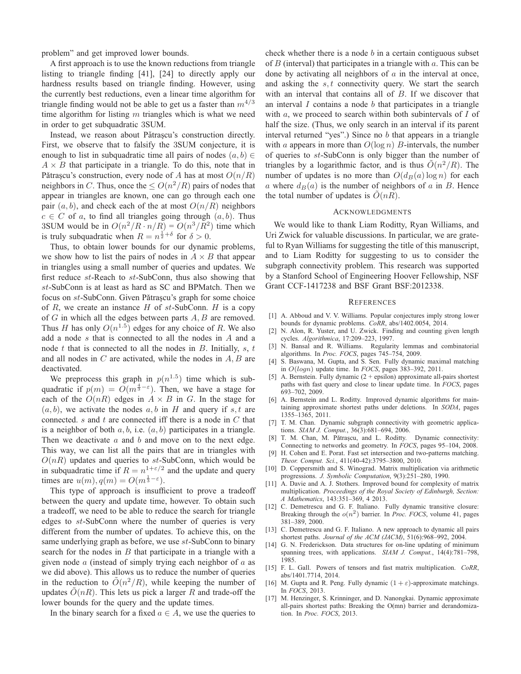problem" and get improved lower bounds.

A first approach is to use the known reductions from triangle listing to triangle finding [41], [24] to directly apply our hardness results based on triangle finding. However, using the currently best reductions, even a linear time algorithm for triangle finding would not be able to get us a faster than  $m^{4/3}$ time algorithm for listing  $m$  triangles which is what we need in order to get subquadratic 3SUM.

Instead, we reason about Pătrașcu's construction directly. First, we observe that to falsify the 3SUM conjecture, it is enough to list in subquadratic time all pairs of nodes  $(a, b) \in$  $A \times B$  that participate in a triangle. To do this, note that in Pătrascu's construction, every node of A has at most  $O(n/R)$ neighbors in C. Thus, once the  $\leq O(n^2/R)$  pairs of nodes that appear in triangles are known, one can go through each one pair  $(a, b)$ , and check each of the at most  $O(n/R)$  neighbors  $c \in C$  of a, to find all triangles going through  $(a, b)$ . Thus 3SUM would be in  $O(n^2/R \cdot n/R) = O(n^3/R^2)$  time which is truly subquadratic when  $R = n^{\frac{1}{2} + \delta}$  for  $\delta > 0$ .<br>Thus to obtain lower bounds for our dynamic

Thus, to obtain lower bounds for our dynamic problems, we show how to list the pairs of nodes in  $A \times B$  that appear in triangles using a small number of queries and updates. We first reduce  $st$ -Reach to  $st$ -SubConn, thus also showing that st-SubConn is at least as hard as SC and BPMatch. Then we focus on st-SubConn. Given Pătrașcu's graph for some choice of R, we create an instance  $H$  of  $st$ -SubConn.  $H$  is a copy of  $G$  in which all the edges between parts  $A, B$  are removed. Thus H has only  $O(n^{1.5})$  edges for any choice of R. We also add a node s that is connected to all the nodes in A and a node t that is connected to all the nodes in  $B$ . Initially,  $s, t$ and all nodes in  $C$  are activated, while the nodes in  $A, B$  are deactivated.

We preprocess this graph in  $p(n^{1.5})$  time which is subquadratic if  $p(m) = O(m^{\frac{4}{3}-\epsilon})$ . Then, we have a stage for each of the  $O(nR)$  edges in  $A \times B$  in G. In the stage for  $(a, b)$ , we activate the nodes a, b in H and query if s, t are connected.  $s$  and  $t$  are connected iff there is a node in  $C$  that is a neighbor of both  $a, b$ , i.e.  $(a, b)$  participates in a triangle. Then we deactivate  $a$  and  $b$  and move on to the next edge. This way, we can list all the pairs that are in triangles with  $O(nR)$  updates and queries to st-SubConn, which would be in subquadratic time if  $R = n^{1+\epsilon/2}$  and the update and query times are  $u(m)$ ,  $q(m) = O(m^{\frac{1}{3} - \varepsilon})$ .<br>This type of approach is insufficially

This type of approach is insufficient to prove a tradeoff between the query and update time, however. To obtain such a tradeoff, we need to be able to reduce the search for triangle edges to st-SubConn where the number of queries is very different from the number of updates. To achieve this, on the same underlying graph as before, we use st-SubConn to binary search for the nodes in  $B$  that participate in a triangle with a given node  $a$  (instead of simply trying each neighbor of  $a$  as we did above). This allows us to reduce the number of queries in the reduction to  $\tilde{O}(n^2/R)$ , while keeping the number of updates  $O(nR)$ . This lets us pick a larger R and trade-off the lower bounds for the query and the update times.

In the binary search for a fixed  $a \in A$ , we use the queries to

check whether there is a node  $b$  in a certain contiguous subset of  $B$  (interval) that participates in a triangle with  $a$ . This can be done by activating all neighbors of  $\alpha$  in the interval at once, and asking the  $s, t$  connectivity query. We start the search with an interval that contains all of B. If we discover that an interval  $I$  contains a node  $b$  that participates in a triangle with a, we proceed to search within both subintervals of I of half the size. (Thus, we only search in an interval if its parent interval returned "yes".) Since no  $b$  that appears in a triangle with a appears in more than  $O(\log n)$  B-intervals, the number of queries to st-SubConn is only bigger than the number of triangles by a logarithmic factor, and is thus  $\tilde{O}(n^2/R)$ . The number of updates is no more than  $O(d_B(a) \log n)$  for each a where  $d_B(a)$  is the number of neighbors of a in B. Hence the total number of updates is  $O(nR)$ .

### ACKNOWLEDGMENTS

We would like to thank Liam Roditty, Ryan Williams, and Uri Zwick for valuable discussions. In particular, we are grateful to Ryan Williams for suggesting the title of this manuscript, and to Liam Roditty for suggesting to us to consider the subgraph connectivity problem. This research was supported by a Stanford School of Engineering Hoover Fellowship, NSF Grant CCF-1417238 and BSF Grant BSF:2012338.

#### **REFERENCES**

- [1] A. Abboud and V. V. Williams. Popular conjectures imply strong lower bounds for dynamic problems. *CoRR*, abs/1402.0054, 2014.
- [2] N. Alon, R. Yuster, and U. Zwick. Finding and counting given length cycles. *Algorithmica*, 17:209–223, 1997.
- [3] N. Bansal and R. Williams. Regularity lemmas and combinatorial algorithms. In *Proc. FOCS*, pages 745–754, 2009.
- [4] S. Baswana, M. Gupta, and S. Sen. Fully dynamic maximal matching in O(logn) update time. In *FOCS*, pages 383–392, 2011.
- [5] A. Bernstein. Fully dynamic (2 + epsilon) approximate all-pairs shortest paths with fast query and close to linear update time. In *FOCS*, pages 693–702, 2009.
- [6] A. Bernstein and L. Roditty. Improved dynamic algorithms for maintaining approximate shortest paths under deletions. In *SODA*, pages 1355–1365, 2011.
- [7] T. M. Chan. Dynamic subgraph connectivity with geometric applications. *SIAM J. Comput.*, 36(3):681–694, 2006.
- [8] T. M. Chan, M. Pătrascu, and L. Roditty. Dynamic connectivity: Connecting to networks and geometry. In *FOCS*, pages 95–104, 2008.
- [9] H. Cohen and E. Porat. Fast set intersection and two-patterns matching. *Theor. Comput. Sci.*, 411(40-42):3795–3800, 2010.
- [10] D. Coppersmith and S. Winograd. Matrix multiplication via arithmetic progressions. *J. Symbolic Computation*, 9(3):251–280, 1990.
- [11] A. Davie and A. J. Stothers. Improved bound for complexity of matrix multiplication. *Proceedings of the Royal Society of Edinburgh, Section: A Mathematics*, 143:351–369, 4 2013.
- [12] C. Demetrescu and G. F. Italiano. Fully dynamic transitive closure: Breaking through the  $o(n^2)$  barrier. In *Proc. FOCS*, volume 41, pages 381–389, 2000.
- [13] C. Demetrescu and G. F. Italiano. A new approach to dynamic all pairs shortest paths. *Journal of the ACM (JACM)*, 51(6):968–992, 2004.
- [14] G. N. Frederickson. Data structures for on-line updating of minimum spanning trees, with applications. *SIAM J. Comput.*, 14(4):781–798, 1985.
- [15] F. L. Gall. Powers of tensors and fast matrix multiplication. *CoRR*, abs/1401.7714, 2014.
- [16] M. Gupta and R. Peng. Fully dynamic  $(1 + \varepsilon)$ -approximate matchings. In *FOCS*, 2013.
- [17] M. Henzinger, S. Krinninger, and D. Nanongkai. Dynamic approximate all-pairs shortest paths: Breaking the O(mn) barrier and derandomization. In *Proc. FOCS*, 2013.